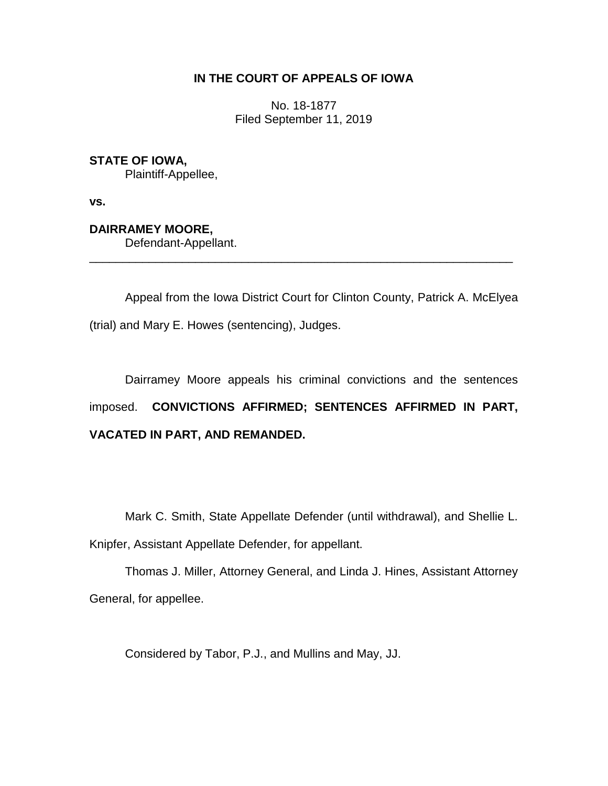# **IN THE COURT OF APPEALS OF IOWA**

No. 18-1877 Filed September 11, 2019

**STATE OF IOWA,** Plaintiff-Appellee,

**vs.**

**DAIRRAMEY MOORE,**

Defendant-Appellant.

Appeal from the Iowa District Court for Clinton County, Patrick A. McElyea (trial) and Mary E. Howes (sentencing), Judges.

\_\_\_\_\_\_\_\_\_\_\_\_\_\_\_\_\_\_\_\_\_\_\_\_\_\_\_\_\_\_\_\_\_\_\_\_\_\_\_\_\_\_\_\_\_\_\_\_\_\_\_\_\_\_\_\_\_\_\_\_\_\_\_\_

Dairramey Moore appeals his criminal convictions and the sentences imposed. **CONVICTIONS AFFIRMED; SENTENCES AFFIRMED IN PART, VACATED IN PART, AND REMANDED.** 

Mark C. Smith, State Appellate Defender (until withdrawal), and Shellie L.

Knipfer, Assistant Appellate Defender, for appellant.

Thomas J. Miller, Attorney General, and Linda J. Hines, Assistant Attorney General, for appellee.

Considered by Tabor, P.J., and Mullins and May, JJ.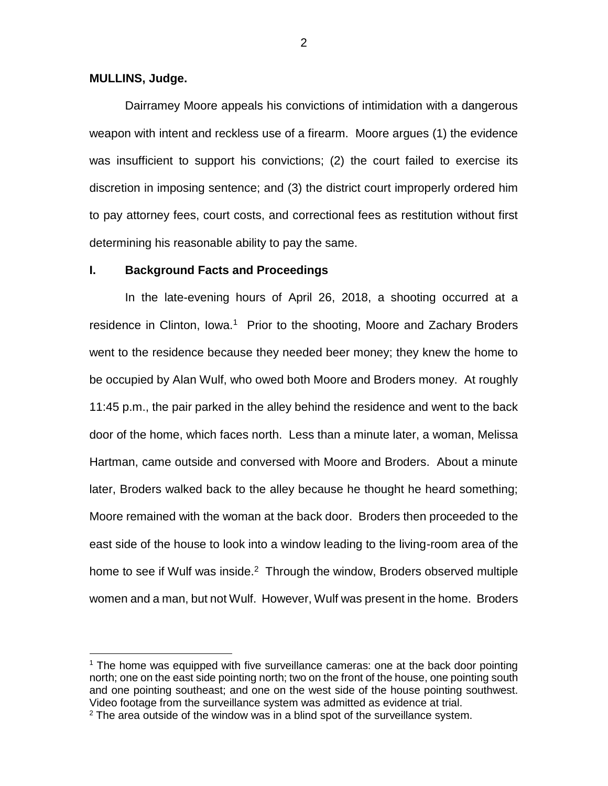## **MULLINS, Judge.**

 $\overline{a}$ 

Dairramey Moore appeals his convictions of intimidation with a dangerous weapon with intent and reckless use of a firearm. Moore argues (1) the evidence was insufficient to support his convictions; (2) the court failed to exercise its discretion in imposing sentence; and (3) the district court improperly ordered him to pay attorney fees, court costs, and correctional fees as restitution without first determining his reasonable ability to pay the same.

### **I. Background Facts and Proceedings**

In the late-evening hours of April 26, 2018, a shooting occurred at a residence in Clinton, Iowa.<sup>1</sup> Prior to the shooting, Moore and Zachary Broders went to the residence because they needed beer money; they knew the home to be occupied by Alan Wulf, who owed both Moore and Broders money. At roughly 11:45 p.m., the pair parked in the alley behind the residence and went to the back door of the home, which faces north. Less than a minute later, a woman, Melissa Hartman, came outside and conversed with Moore and Broders. About a minute later, Broders walked back to the alley because he thought he heard something; Moore remained with the woman at the back door. Broders then proceeded to the east side of the house to look into a window leading to the living-room area of the home to see if Wulf was inside. $2$  Through the window, Broders observed multiple women and a man, but not Wulf. However, Wulf was present in the home. Broders

 $<sup>1</sup>$  The home was equipped with five surveillance cameras: one at the back door pointing</sup> north; one on the east side pointing north; two on the front of the house, one pointing south and one pointing southeast; and one on the west side of the house pointing southwest. Video footage from the surveillance system was admitted as evidence at trial.

 $2$  The area outside of the window was in a blind spot of the surveillance system.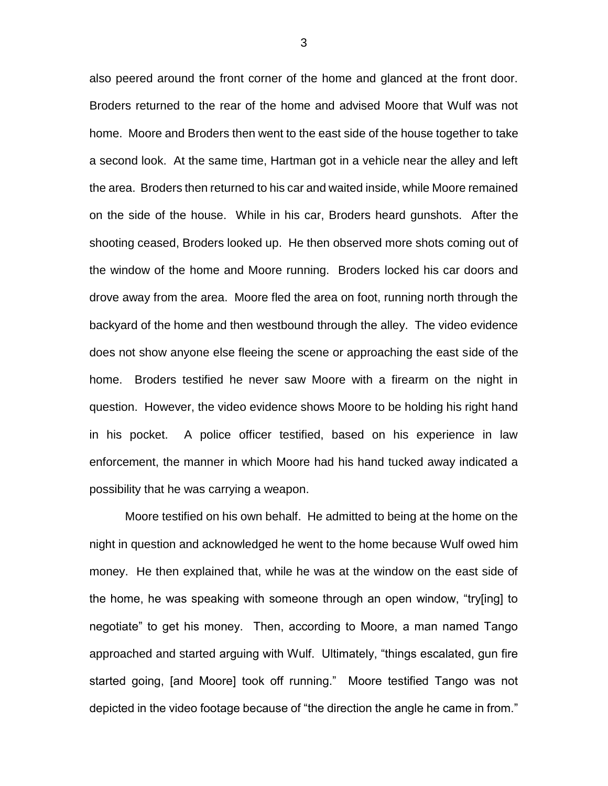also peered around the front corner of the home and glanced at the front door. Broders returned to the rear of the home and advised Moore that Wulf was not home. Moore and Broders then went to the east side of the house together to take a second look. At the same time, Hartman got in a vehicle near the alley and left the area. Broders then returned to his car and waited inside, while Moore remained on the side of the house. While in his car, Broders heard gunshots. After the shooting ceased, Broders looked up. He then observed more shots coming out of the window of the home and Moore running. Broders locked his car doors and drove away from the area. Moore fled the area on foot, running north through the backyard of the home and then westbound through the alley. The video evidence does not show anyone else fleeing the scene or approaching the east side of the home. Broders testified he never saw Moore with a firearm on the night in question. However, the video evidence shows Moore to be holding his right hand in his pocket. A police officer testified, based on his experience in law enforcement, the manner in which Moore had his hand tucked away indicated a possibility that he was carrying a weapon.

Moore testified on his own behalf. He admitted to being at the home on the night in question and acknowledged he went to the home because Wulf owed him money. He then explained that, while he was at the window on the east side of the home, he was speaking with someone through an open window, "try[ing] to negotiate" to get his money. Then, according to Moore, a man named Tango approached and started arguing with Wulf. Ultimately, "things escalated, gun fire started going, [and Moore] took off running." Moore testified Tango was not depicted in the video footage because of "the direction the angle he came in from."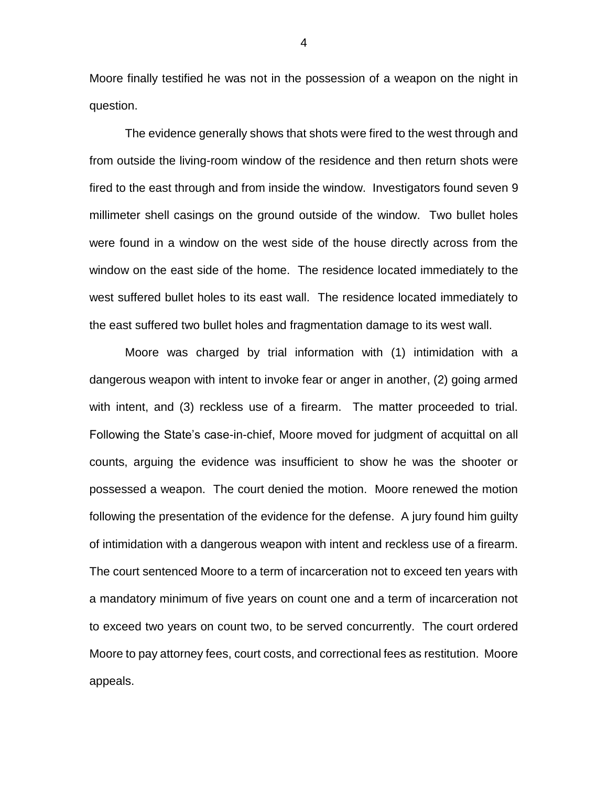Moore finally testified he was not in the possession of a weapon on the night in question.

The evidence generally shows that shots were fired to the west through and from outside the living-room window of the residence and then return shots were fired to the east through and from inside the window. Investigators found seven 9 millimeter shell casings on the ground outside of the window. Two bullet holes were found in a window on the west side of the house directly across from the window on the east side of the home. The residence located immediately to the west suffered bullet holes to its east wall. The residence located immediately to the east suffered two bullet holes and fragmentation damage to its west wall.

Moore was charged by trial information with (1) intimidation with a dangerous weapon with intent to invoke fear or anger in another, (2) going armed with intent, and (3) reckless use of a firearm. The matter proceeded to trial. Following the State's case-in-chief, Moore moved for judgment of acquittal on all counts, arguing the evidence was insufficient to show he was the shooter or possessed a weapon. The court denied the motion. Moore renewed the motion following the presentation of the evidence for the defense. A jury found him guilty of intimidation with a dangerous weapon with intent and reckless use of a firearm. The court sentenced Moore to a term of incarceration not to exceed ten years with a mandatory minimum of five years on count one and a term of incarceration not to exceed two years on count two, to be served concurrently. The court ordered Moore to pay attorney fees, court costs, and correctional fees as restitution. Moore appeals.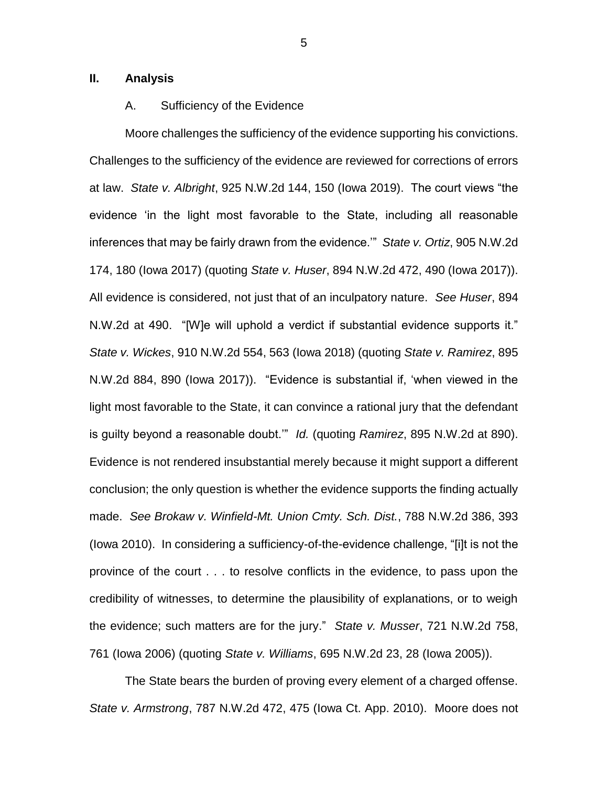# **II. Analysis**

## A. Sufficiency of the Evidence

Moore challenges the sufficiency of the evidence supporting his convictions. Challenges to the sufficiency of the evidence are reviewed for corrections of errors at law. *State v. Albright*, 925 N.W.2d 144, 150 (Iowa 2019).The court views "the evidence 'in the light most favorable to the State, including all reasonable inferences that may be fairly drawn from the evidence.'" *State v. Ortiz*, 905 N.W.2d 174, 180 (Iowa 2017) (quoting *State v. Huser*, 894 N.W.2d 472, 490 (Iowa 2017)). All evidence is considered, not just that of an inculpatory nature. *See Huser*, 894 N.W.2d at 490. "[W]e will uphold a verdict if substantial evidence supports it." *State v. Wickes*, 910 N.W.2d 554, 563 (Iowa 2018) (quoting *State v. Ramirez*, 895 N.W.2d 884, 890 (Iowa 2017))."Evidence is substantial if, 'when viewed in the light most favorable to the State, it can convince a rational jury that the defendant is guilty beyond a reasonable doubt.'" *Id.* (quoting *Ramirez*, 895 N.W.2d at 890). Evidence is not rendered insubstantial merely because it might support a different conclusion; the only question is whether the evidence supports the finding actually made. *See Brokaw v. Winfield-Mt. Union Cmty. Sch. Dist.*, 788 N.W.2d 386, 393 (Iowa 2010). In considering a sufficiency-of-the-evidence challenge, "[i]t is not the province of the court . . . to resolve conflicts in the evidence, to pass upon the credibility of witnesses, to determine the plausibility of explanations, or to weigh the evidence; such matters are for the jury." *State v. Musser*, 721 N.W.2d 758, 761 (Iowa 2006) (quoting *State v. Williams*, 695 N.W.2d 23, 28 (Iowa 2005)).

The State bears the burden of proving every element of a charged offense. *State v. Armstrong*, 787 N.W.2d 472, 475 (Iowa Ct. App. 2010). Moore does not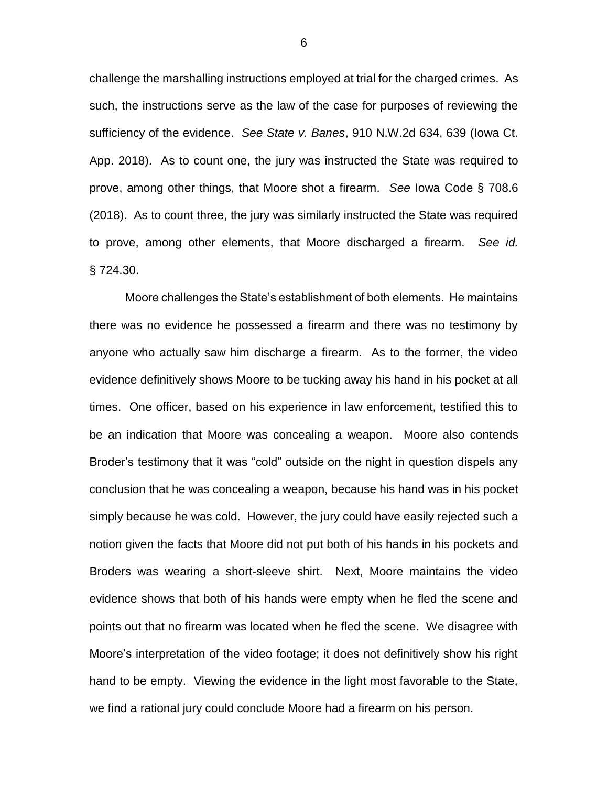challenge the marshalling instructions employed at trial for the charged crimes. As such, the instructions serve as the law of the case for purposes of reviewing the sufficiency of the evidence. *See State v. Banes*, 910 N.W.2d 634, 639 (Iowa Ct. App. 2018). As to count one, the jury was instructed the State was required to prove, among other things, that Moore shot a firearm. *See* Iowa Code § 708.6 (2018). As to count three, the jury was similarly instructed the State was required to prove, among other elements, that Moore discharged a firearm. *See id.* § 724.30.

Moore challenges the State's establishment of both elements. He maintains there was no evidence he possessed a firearm and there was no testimony by anyone who actually saw him discharge a firearm. As to the former, the video evidence definitively shows Moore to be tucking away his hand in his pocket at all times. One officer, based on his experience in law enforcement, testified this to be an indication that Moore was concealing a weapon. Moore also contends Broder's testimony that it was "cold" outside on the night in question dispels any conclusion that he was concealing a weapon, because his hand was in his pocket simply because he was cold. However, the jury could have easily rejected such a notion given the facts that Moore did not put both of his hands in his pockets and Broders was wearing a short-sleeve shirt. Next, Moore maintains the video evidence shows that both of his hands were empty when he fled the scene and points out that no firearm was located when he fled the scene. We disagree with Moore's interpretation of the video footage; it does not definitively show his right hand to be empty. Viewing the evidence in the light most favorable to the State, we find a rational jury could conclude Moore had a firearm on his person.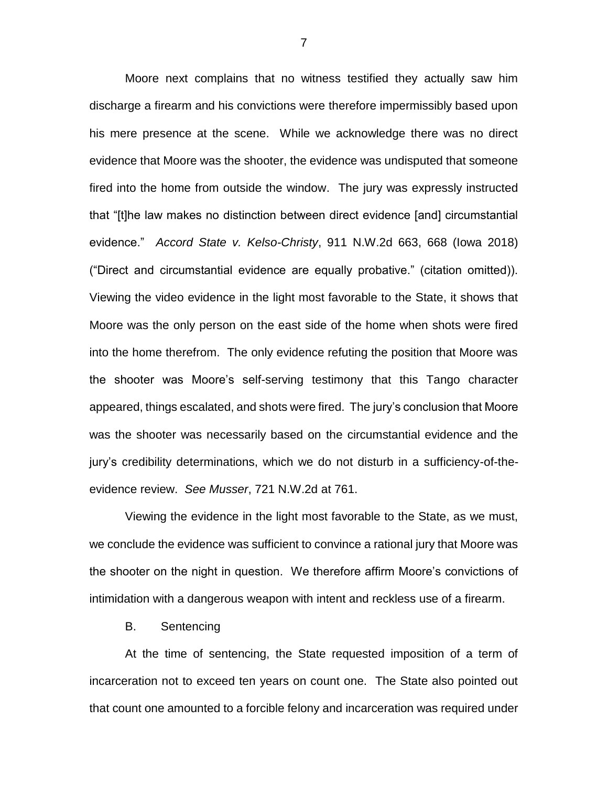Moore next complains that no witness testified they actually saw him discharge a firearm and his convictions were therefore impermissibly based upon his mere presence at the scene. While we acknowledge there was no direct evidence that Moore was the shooter, the evidence was undisputed that someone fired into the home from outside the window. The jury was expressly instructed that "[t]he law makes no distinction between direct evidence [and] circumstantial evidence." *Accord State v. Kelso-Christy*, 911 N.W.2d 663, 668 (Iowa 2018) ("Direct and circumstantial evidence are equally probative." (citation omitted)). Viewing the video evidence in the light most favorable to the State, it shows that Moore was the only person on the east side of the home when shots were fired into the home therefrom. The only evidence refuting the position that Moore was the shooter was Moore's self-serving testimony that this Tango character appeared, things escalated, and shots were fired. The jury's conclusion that Moore was the shooter was necessarily based on the circumstantial evidence and the jury's credibility determinations, which we do not disturb in a sufficiency-of-theevidence review. *See Musser*, 721 N.W.2d at 761.

Viewing the evidence in the light most favorable to the State, as we must, we conclude the evidence was sufficient to convince a rational jury that Moore was the shooter on the night in question. We therefore affirm Moore's convictions of intimidation with a dangerous weapon with intent and reckless use of a firearm.

B. Sentencing

At the time of sentencing, the State requested imposition of a term of incarceration not to exceed ten years on count one. The State also pointed out that count one amounted to a forcible felony and incarceration was required under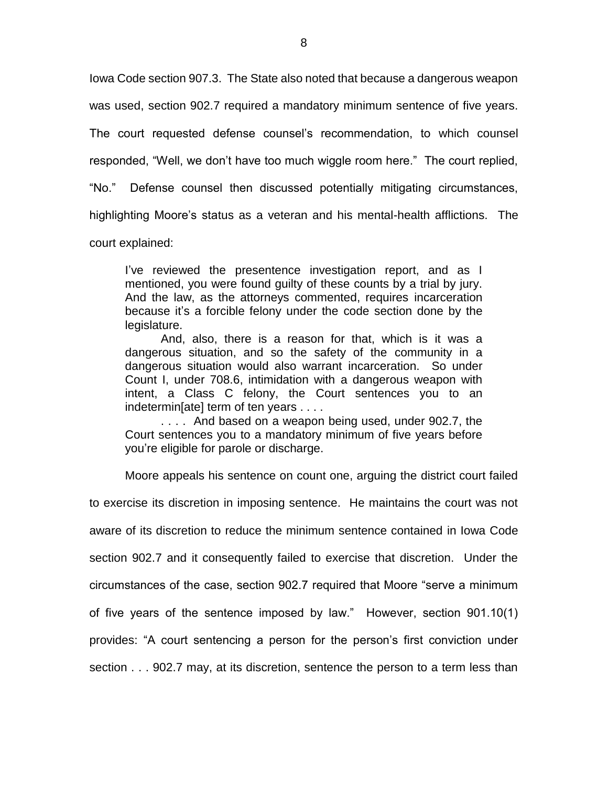Iowa Code section 907.3. The State also noted that because a dangerous weapon

was used, section 902.7 required a mandatory minimum sentence of five years.

The court requested defense counsel's recommendation, to which counsel

responded, "Well, we don't have too much wiggle room here." The court replied,

"No." Defense counsel then discussed potentially mitigating circumstances,

highlighting Moore's status as a veteran and his mental-health afflictions. The

court explained:

I've reviewed the presentence investigation report, and as I mentioned, you were found guilty of these counts by a trial by jury. And the law, as the attorneys commented, requires incarceration because it's a forcible felony under the code section done by the legislature.

And, also, there is a reason for that, which is it was a dangerous situation, and so the safety of the community in a dangerous situation would also warrant incarceration. So under Count I, under 708.6, intimidation with a dangerous weapon with intent, a Class C felony, the Court sentences you to an indetermin[ate] term of ten years . . . .

. . . . And based on a weapon being used, under 902.7, the Court sentences you to a mandatory minimum of five years before you're eligible for parole or discharge.

Moore appeals his sentence on count one, arguing the district court failed

to exercise its discretion in imposing sentence. He maintains the court was not aware of its discretion to reduce the minimum sentence contained in Iowa Code section 902.7 and it consequently failed to exercise that discretion. Under the circumstances of the case, section 902.7 required that Moore "serve a minimum of five years of the sentence imposed by law." However, section 901.10(1) provides: "A court sentencing a person for the person's first conviction under section . . . 902.7 may, at its discretion, sentence the person to a term less than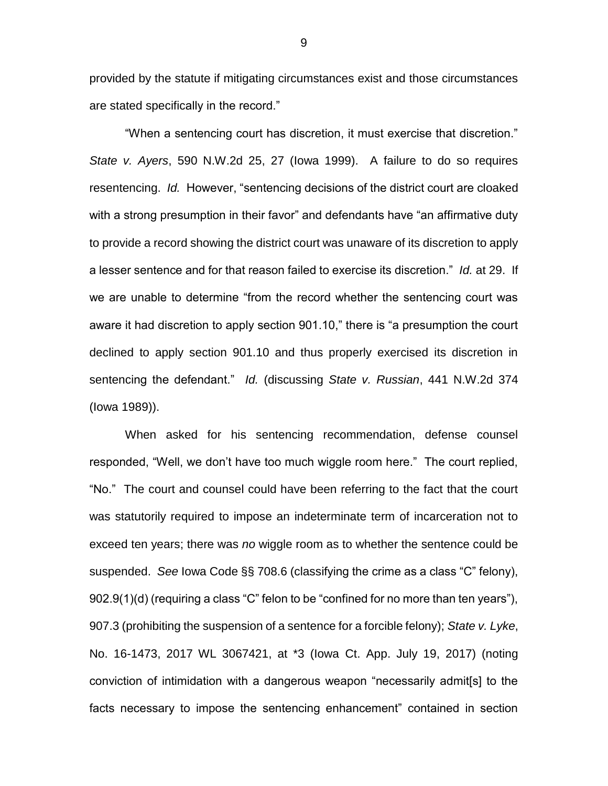provided by the statute if mitigating circumstances exist and those circumstances are stated specifically in the record."

"When a sentencing court has discretion, it must exercise that discretion." *State v. Ayers*, 590 N.W.2d 25, 27 (Iowa 1999). A failure to do so requires resentencing. *Id.* However, "sentencing decisions of the district court are cloaked with a strong presumption in their favor" and defendants have "an affirmative duty to provide a record showing the district court was unaware of its discretion to apply a lesser sentence and for that reason failed to exercise its discretion." *Id.* at 29. If we are unable to determine "from the record whether the sentencing court was aware it had discretion to apply section 901.10," there is "a presumption the court declined to apply section 901.10 and thus properly exercised its discretion in sentencing the defendant." *Id.* (discussing *State v. Russian*, 441 N.W.2d 374 (Iowa 1989)).

When asked for his sentencing recommendation, defense counsel responded, "Well, we don't have too much wiggle room here." The court replied, "No." The court and counsel could have been referring to the fact that the court was statutorily required to impose an indeterminate term of incarceration not to exceed ten years; there was *no* wiggle room as to whether the sentence could be suspended. *See* Iowa Code §§ 708.6 (classifying the crime as a class "C" felony), 902.9(1)(d) (requiring a class "C" felon to be "confined for no more than ten years"), 907.3 (prohibiting the suspension of a sentence for a forcible felony); *State v. Lyke*, No. 16-1473, 2017 WL 3067421, at \*3 (Iowa Ct. App. July 19, 2017) (noting conviction of intimidation with a dangerous weapon "necessarily admit[s] to the facts necessary to impose the sentencing enhancement" contained in section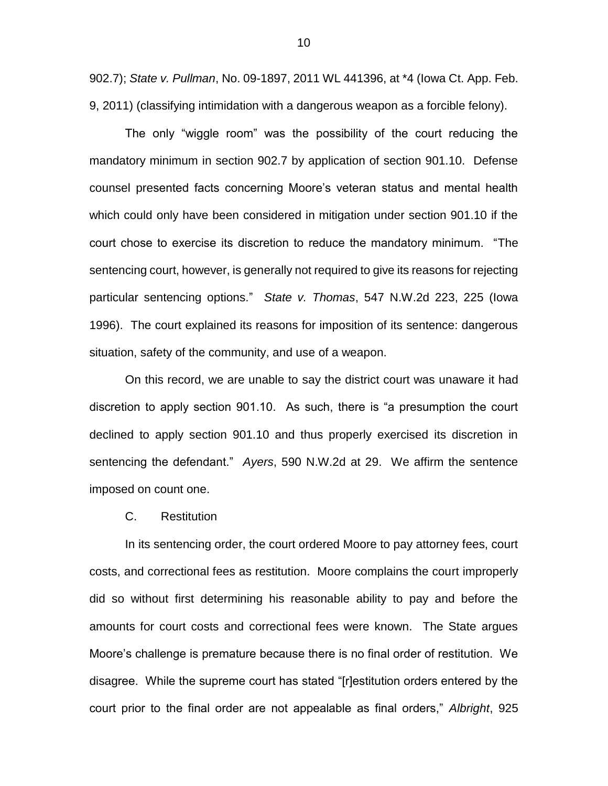902.7); *State v. Pullman*, No. 09-1897, 2011 WL 441396, at \*4 (Iowa Ct. App. Feb. 9, 2011) (classifying intimidation with a dangerous weapon as a forcible felony).

The only "wiggle room" was the possibility of the court reducing the mandatory minimum in section 902.7 by application of section 901.10. Defense counsel presented facts concerning Moore's veteran status and mental health which could only have been considered in mitigation under section 901.10 if the court chose to exercise its discretion to reduce the mandatory minimum. "The sentencing court, however, is generally not required to give its reasons for rejecting particular sentencing options." *State v. Thomas*, 547 N.W.2d 223, 225 (Iowa 1996). The court explained its reasons for imposition of its sentence: dangerous situation, safety of the community, and use of a weapon.

On this record, we are unable to say the district court was unaware it had discretion to apply section 901.10. As such, there is "a presumption the court declined to apply section 901.10 and thus properly exercised its discretion in sentencing the defendant." *Ayers*, 590 N.W.2d at 29. We affirm the sentence imposed on count one.

#### C. Restitution

In its sentencing order, the court ordered Moore to pay attorney fees, court costs, and correctional fees as restitution. Moore complains the court improperly did so without first determining his reasonable ability to pay and before the amounts for court costs and correctional fees were known. The State argues Moore's challenge is premature because there is no final order of restitution. We disagree. While the supreme court has stated "[r]estitution orders entered by the court prior to the final order are not appealable as final orders," *Albright*, 925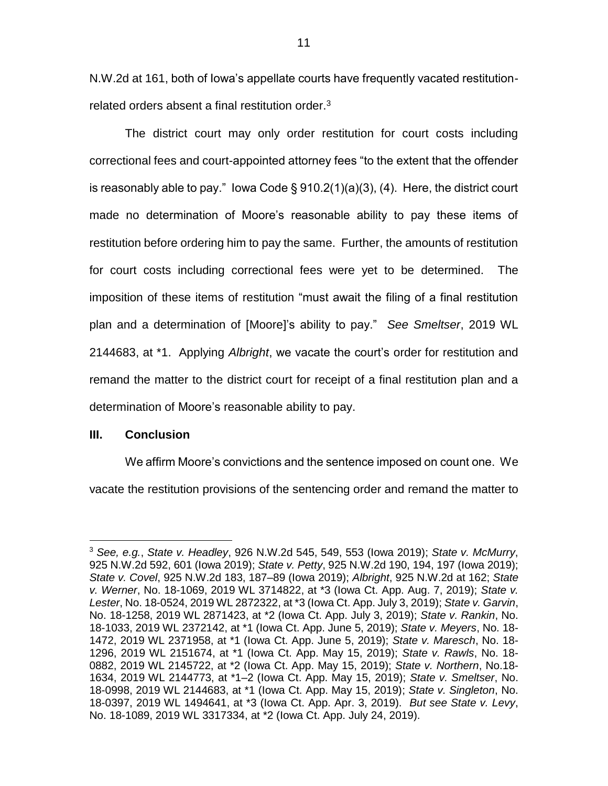N.W.2d at 161, both of Iowa's appellate courts have frequently vacated restitutionrelated orders absent a final restitution order.<sup>3</sup>

The district court may only order restitution for court costs including correctional fees and court-appointed attorney fees "to the extent that the offender is reasonably able to pay." lowa Code § 910.2(1)(a)(3), (4). Here, the district court made no determination of Moore's reasonable ability to pay these items of restitution before ordering him to pay the same. Further, the amounts of restitution for court costs including correctional fees were yet to be determined. The imposition of these items of restitution "must await the filing of a final restitution plan and a determination of [Moore]'s ability to pay." *See Smeltser*, 2019 WL 2144683, at \*1. Applying *Albright*, we vacate the court's order for restitution and remand the matter to the district court for receipt of a final restitution plan and a determination of Moore's reasonable ability to pay.

## **III. Conclusion**

 $\overline{a}$ 

We affirm Moore's convictions and the sentence imposed on count one. We vacate the restitution provisions of the sentencing order and remand the matter to

<sup>3</sup> *See, e.g.*, *State v. Headley*, 926 N.W.2d 545, 549, 553 (Iowa 2019); *State v. McMurry*, 925 N.W.2d 592, 601 (Iowa 2019); *State v. Petty*, 925 N.W.2d 190, 194, 197 (Iowa 2019); *State v. Covel*, 925 N.W.2d 183, 187–89 (Iowa 2019); *Albright*, 925 N.W.2d at 162; *State v. Werner*, No. 18-1069, 2019 WL 3714822, at \*3 (Iowa Ct. App. Aug. 7, 2019); *State v. Lester*, No. 18-0524, 2019 WL 2872322, at \*3 (Iowa Ct. App. July 3, 2019); *State v. Garvin*, No. 18-1258, 2019 WL 2871423, at \*2 (Iowa Ct. App. July 3, 2019); *State v. Rankin*, No. 18-1033, 2019 WL 2372142, at \*1 (Iowa Ct. App. June 5, 2019); *State v. Meyers*, No. 18- 1472, 2019 WL 2371958, at \*1 (Iowa Ct. App. June 5, 2019); *State v. Maresch*, No. 18- 1296, 2019 WL 2151674, at \*1 (Iowa Ct. App. May 15, 2019); *State v. Rawls*, No. 18- 0882, 2019 WL 2145722, at \*2 (Iowa Ct. App. May 15, 2019); *State v. Northern*, No.18- 1634, 2019 WL 2144773, at \*1–2 (Iowa Ct. App. May 15, 2019); *State v. Smeltser*, No. 18-0998, 2019 WL 2144683, at \*1 (Iowa Ct. App. May 15, 2019); *State v. Singleton*, No. 18-0397, 2019 WL 1494641, at \*3 (Iowa Ct. App. Apr. 3, 2019). *But see State v. Levy*, No. 18-1089, 2019 WL 3317334, at \*2 (Iowa Ct. App. July 24, 2019).